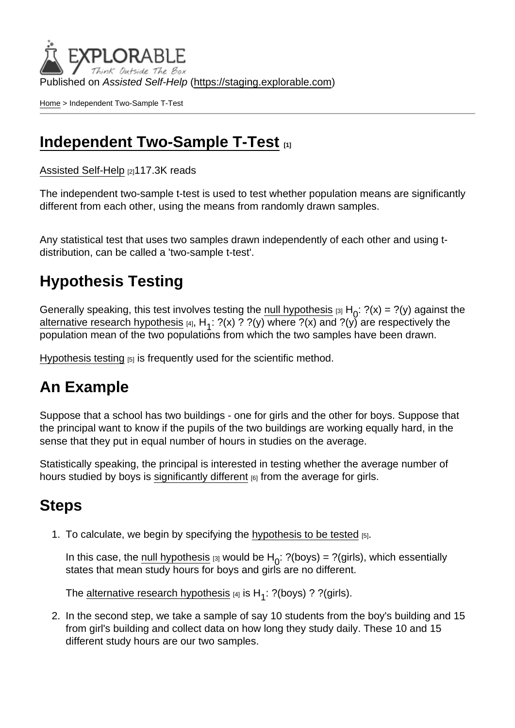Published on Assisted Self-Help [\(https://staging.explorable.com](https://staging.explorable.com))

[Home](https://staging.explorable.com/en) > Independent Two-Sample T-Test

#### [Independent Two-Sample T-Test](https://staging.explorable.com/en/independent-two-sample-t-test)

[Assisted Self-Help](https://staging.explorable.com/en) [2]117.3K reads

The independent two-sample t-test is used to test whether population means are significantly different from each other, using the means from randomly drawn samples.

Any statistical test that uses two samples drawn independently of each other and using tdistribution, can be called a 'two-sample t-test'.

# Hypothesis Testing

Generally speaking, this test involves testing the <u>null hypothesis</u>  $a_1H_0$ :  $?$ (x) =  $?$ (y) against the [alternative research hypothesis](https://staging.explorable.com/research-hypothesis) [4], H<sub>1</sub>: ?(x) ? ?(y) where ?(x) and ?(y) are respectively the population mean of the two populations from which the two samples have been drawn.

[Hypothesis testing](https://staging.explorable.com/hypothesis-testing)  $[5]$  is frequently used for the scientific method.

## An Example

Suppose that a school has two buildings - one for girls and the other for boys. Suppose that the principal want to know if the pupils of the two buildings are working equally hard, in the sense that they put in equal number of hours in studies on the average.

Statistically speaking, the principal is interested in testing whether the average number of hours studied by boys is [significantly different](https://staging.explorable.com/significance-test-2)  $_{[6]}$  from the average for girls.

## **Steps**

1. To calculate, we begin by specifying the [hypothesis to be tested](https://staging.explorable.com/hypothesis-testing)  $[5]$ .

In this case, the <u>null hypothesis</u>  $\left| \right|_0$  would be H<sub>0</sub>: ?(boys) = ?(girls), which essentially states that mean study hours for boys and girls are no different.

The <u>alternative research hypothesis</u> [4] is  $H_1$ : ?(boys) ? ?(girls).

2. In the second step, we take a sample of say 10 students from the boy's building and 15 from girl's building and collect data on how long they study daily. These 10 and 15 different study hours are our two samples.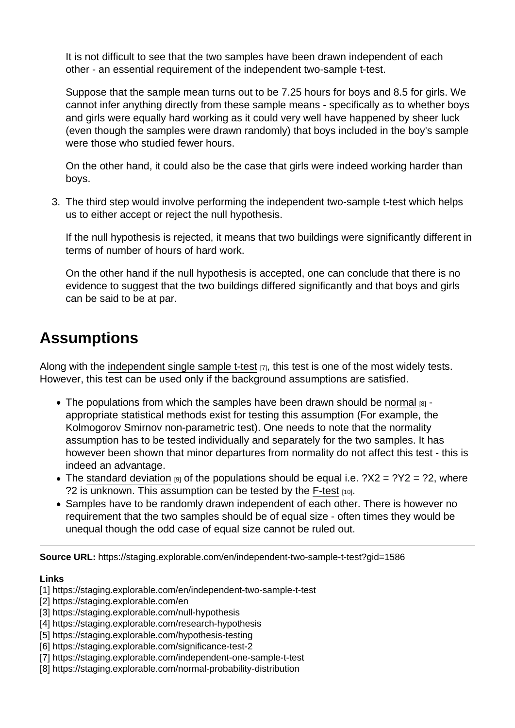It is not difficult to see that the two samples have been drawn independent of each other - an essential requirement of the independent two-sample t-test.

Suppose that the sample mean turns out to be 7.25 hours for boys and 8.5 for girls. We cannot infer anything directly from these sample means - specifically as to whether boys and girls were equally hard working as it could very well have happened by sheer luck (even though the samples were drawn randomly) that boys included in the boy's sample were those who studied fewer hours.

On the other hand, it could also be the case that girls were indeed working harder than boys.

3. The third step would involve performing the independent two-sample t-test which helps us to either accept or reject the null hypothesis.

If the null hypothesis is rejected, it means that two buildings were significantly different in terms of number of hours of hard work.

On the other hand if the null hypothesis is accepted, one can conclude that there is no evidence to suggest that the two buildings differed significantly and that boys and girls can be said to be at par.

#### Assumptions

Along with the [independent single sample t-test](https://staging.explorable.com/independent-one-sample-t-test) [7], this test is one of the most widely tests. However, this test can be used only if the background assumptions are satisfied.

- $\bullet$  The populations from which the samples have been drawn should be [normal](https://staging.explorable.com/normal-probability-distribution)  $_{[8]}$ . appropriate statistical methods exist for testing this assumption (For example, the Kolmogorov Smirnov non-parametric test). One needs to note that the normality assumption has to be tested individually and separately for the two samples. It has however been shown that minor departures from normality do not affect this test - this is indeed an advantage.
- The [standard deviation](https://staging.explorable.com/calculate-standard-deviation)  $\theta$  of the populations should be equal i.e.  $?X2 = ?Y2 = ?2$ , where ?2 is unknown. This assumption can be tested by the [F-test](https://staging.explorable.com/f-test) [10].
- Samples have to be randomly drawn independent of each other. There is however no requirement that the two samples should be of equal size - often times they would be unequal though the odd case of equal size cannot be ruled out.

Source URL: https://staging.explorable.com/en/independent-two-sample-t-test?gid=1586

Links

- [1] https://staging.explorable.com/en/independent-two-sample-t-test
- [2] https://staging.explorable.com/en
- [3] https://staging.explorable.com/null-hypothesis
- [4] https://staging.explorable.com/research-hypothesis
- [5] https://staging.explorable.com/hypothesis-testing
- [6] https://staging.explorable.com/significance-test-2
- [7] https://staging.explorable.com/independent-one-sample-t-test
- [8] https://staging.explorable.com/normal-probability-distribution